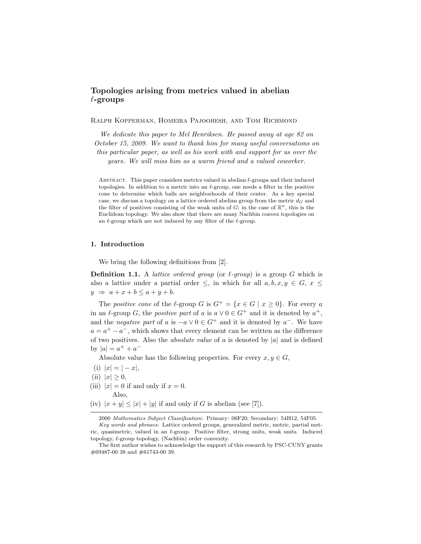# Topologies arising from metrics valued in abelian  $\ell$ -groups

Ralph Kopperman, Homeira Pajoohesh, and Tom Richmond

We dedicate this paper to Mel Henriksen. He passed away at age 82 on October 15, 2009. We want to thank him for many useful conversations on this particular paper, as well as his work with and support for us over the years. We will miss him as a warm friend and a valued coworker.

ABSTRACT. This paper considers metrics valued in abelian  $\ell$ -groups and their induced topologies. In addition to a metric into an  $\ell$ -group, one needs a filter in the positive cone to determine which balls are neighborhoods of their center. As a key special case, we discuss a topology on a lattice ordered abelian group from the metric  $d_G$  and the filter of positives consisting of the weak units of  $G$ ; in the case of  $\mathbb{R}^n$ , this is the Euclidean topology. We also show that there are many Nachbin convex topologies on an  $\ell$ -group which are not induced by any filter of the  $\ell$ -group.

## 1. Introduction

We bring the following definitions from [2].

**Definition 1.1.** A *lattice ordered group* (or  $\ell$ -group) is a group G which is also a lattice under a partial order  $\leq$ , in which for all  $a, b, x, y \in G$ ,  $x \leq$  $y \Rightarrow a+x+b \leq a+y+b$ .

The positive cone of the  $\ell$ -group G is  $G^+ = \{x \in G \mid x > 0\}$ . For every a in an  $\ell$ -group G, the *positive part* of a is  $a \vee 0 \in G^+$  and it is denoted by  $a^+$ , and the *negative part* of a is  $-a \vee 0 \in G^+$  and it is denoted by  $a^-$ . We have  $a = a^+ - a^-$ , which shows that every element can be written as the difference of two positives. Also the *absolute value* of a is denoted by  $|a|$  and is defined by  $|a| = a^+ + a^-$ 

Absolute value has the following properties. For every  $x, y \in G$ ,

- (i)  $|x| = |-x|$ ,
- (ii)  $|x| \geq 0$ ,
- (iii)  $|x| = 0$  if and only if  $x = 0$ .

Also,

(iv)  $|x + y| \leq |x| + |y|$  if and only if G is abelian (see [7]).

<sup>2000</sup> *Mathematics Subject Classification*: Primary: 06F20; Secondary: 54H12, 54F05.

*Key words and phrases*: Lattice ordered groups, generalized metric, metric, partial metric, quasimetric, valued in an  $\ell$ -group. Positive filter, strong units, weak units. Induced topology,  $\ell$ -group topology, (Nachbin) order convexity.

The first author wishes to acknowledge the support of this research by PSC-CUNY grants #69487-00 38 and #61743-00 39.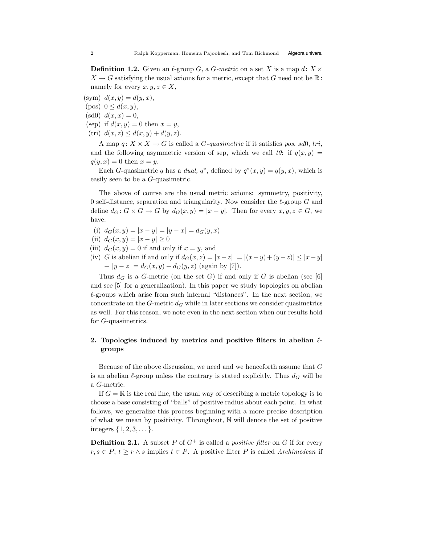**Definition 1.2.** Given an  $\ell$ -group G, a G-metric on a set X is a map d:  $X \times$  $X \to G$  satisfying the usual axioms for a metric, except that G need not be  $\mathbb{R}$ : namely for every  $x, y, z \in X$ ,

(sym)  $d(x, y) = d(y, x)$ ,

- (pos)  $0 \le d(x, y)$ ,
- (sd0)  $d(x, x) = 0$ ,
- (sep) if  $d(x, y) = 0$  then  $x = y$ ,
- (tri)  $d(x, z) \leq d(x, y) + d(y, z)$ .

A map  $q: X \times X \to G$  is called a *G*-quasimetric if it satisfies pos, sd0, tri, and the following asymmetric version of sep, which we call to: if  $q(x, y)$  =  $q(y, x) = 0$  then  $x = y$ .

Each G-quasimetric q has a dual,  $q^*$ , defined by  $q^*(x, y) = q(y, x)$ , which is easily seen to be a G-quasimetric.

The above of course are the usual metric axioms: symmetry, positivity, 0 self-distance, separation and triangularity. Now consider the  $\ell$ -group G and define  $d_G: G \times G \to G$  by  $d_G(x, y) = |x - y|$ . Then for every  $x, y, z \in G$ , we have:

- (i)  $d_G(x, y) = |x y| = |y x| = d_G(y, x)$
- (ii)  $d_G(x, y) = |x y| \ge 0$
- (iii)  $d_G(x, y) = 0$  if and only if  $x = y$ , and
- (iv) G is abelian if and only if  $d_G(x, z) = |x-z| = |(x-y)+(y-z)| \leq |x-y|$ +  $|y - z| = d_G(x, y) + d_G(y, z)$  (again by [7]).

Thus  $d_G$  is a G-metric (on the set G) if and only if G is abelian (see [6] and see [5] for a generalization). In this paper we study topologies on abelian  $\ell$ -groups which arise from such internal "distances". In the next section, we concentrate on the G-metric  $d_G$  while in later sections we consider quasimetrics as well. For this reason, we note even in the next section when our results hold for G-quasimetrics.

## 2. Topologies induced by metrics and positive filters in abelian  $\ell$ groups

Because of the above discussion, we need and we henceforth assume that G is an abelian  $\ell$ -group unless the contrary is stated explicitly. Thus  $d_G$  will be a G-metric.

If  $G = \mathbb{R}$  is the real line, the usual way of describing a metric topology is to choose a base consisting of "balls" of positive radius about each point. In what follows, we generalize this process beginning with a more precise description of what we mean by positivity. Throughout,  $\mathbb N$  will denote the set of positive integers  $\{1, 2, 3, \dots\}$ .

**Definition 2.1.** A subset P of  $G^+$  is called a *positive filter* on G if for every  $r, s \in P$ ,  $t \geq r \wedge s$  implies  $t \in P$ . A positive filter P is called Archimedean if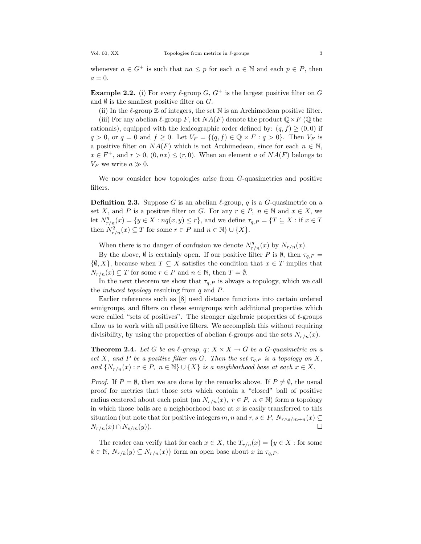whenever  $a \in G^+$  is such that  $na \leq p$  for each  $n \in \mathbb{N}$  and each  $p \in P$ , then  $a=0.$ 

**Example 2.2.** (i) For every  $\ell$ -group G,  $G^+$  is the largest positive filter on G and  $\emptyset$  is the smallest positive filter on  $G$ .

(ii) In the  $\ell$ -group  $\mathbb Z$  of integers, the set N is an Archimedean positive filter.

(iii) For any abelian  $\ell$ -group F, let  $NA(F)$  denote the product  $\mathbb{Q} \times F$  ( $\mathbb{Q}$  the rationals), equipped with the lexicographic order defined by:  $(q, f) \geq (0, 0)$  if  $q > 0$ , or  $q = 0$  and  $f \geq 0$ . Let  $V_F = \{(q, f) \in \mathbb{Q} \times F : q > 0\}$ . Then  $V_F$  is a positive filter on  $NA(F)$  which is not Archimedean, since for each  $n \in \mathbb{N}$ ,  $x \in F^+$ , and  $r > 0$ ,  $(0, nx) \le (r, 0)$ . When an element a of  $NA(F)$  belongs to  $V_F$  we write  $a \gg 0$ .

We now consider how topologies arise from G-quasimetrics and positive filters.

**Definition 2.3.** Suppose G is an abelian  $\ell$ -group, q is a G-quasimetric on a set X, and P is a positive filter on G. For any  $r \in P$ ,  $n \in \mathbb{N}$  and  $x \in X$ , we let  $N_{r/n}^q(x) = \{y \in X : nq(x, y) \le r\}$ , and we define  $\tau_{q,P} = \{T \subseteq X : \text{if } x \in T\}$ then  $N_{r/n}^q(x) \subseteq T$  for some  $r \in P$  and  $n \in \mathbb{N} \} \cup \{X\}.$ 

When there is no danger of confusion we denote  $N_{r/n}^q(x)$  by  $N_{r/n}(x)$ .

By the above,  $\emptyset$  is certainly open. If our positive filter P is  $\emptyset$ , then  $\tau_{q,P}$  =  $\{\emptyset, X\}$ , because when  $T \subseteq X$  satisfies the condition that  $x \in T$  implies that  $N_{r/n}(x) \subseteq T$  for some  $r \in P$  and  $n \in \mathbb{N}$ , then  $T = \emptyset$ .

In the next theorem we show that  $\tau_{q,P}$  is always a topology, which we call the *induced topology* resulting from  $q$  and  $P$ .

Earlier references such as [8] used distance functions into certain ordered semigroups, and filters on these semigroups with additional properties which were called "sets of positives". The stronger algebraic properties of  $\ell$ -groups allow us to work with all positive filters. We accomplish this without requiring divisibility, by using the properties of abelian  $\ell$ -groups and the sets  $N_{r/n}(x)$ .

**Theorem 2.4.** Let G be an  $\ell$ -group,  $q: X \times X \to G$  be a G-quasimetric on a set X, and P be a positive filter on G. Then the set  $\tau_{q,P}$  is a topology on X, and  $\{N_{r/n}(x) : r \in P, n \in \mathbb{N}\} \cup \{X\}$  is a neighborhood base at each  $x \in X$ .

*Proof.* If  $P = \emptyset$ , then we are done by the remarks above. If  $P \neq \emptyset$ , the usual proof for metrics that those sets which contain a "closed" ball of positive radius centered about each point (an  $N_{r/n}(x)$ ,  $r \in P$ ,  $n \in \mathbb{N}$ ) form a topology in which those balls are a neighborhood base at  $x$  is easily transferred to this situation (but note that for positive integers m, n and  $r, s \in P$ ,  $N_{r \wedge s/m+n}(x) \subseteq N$  $N_{r/n}(x) \cap N_{s/m}(y)$ .

The reader can verify that for each  $x \in X$ , the  $T_{r/n}(x) = \{y \in X :$  for some  $k \in \mathbb{N}, N_{r/k}(y) \subseteq N_{r/n}(x)$  form an open base about x in  $\tau_{q,P}$ .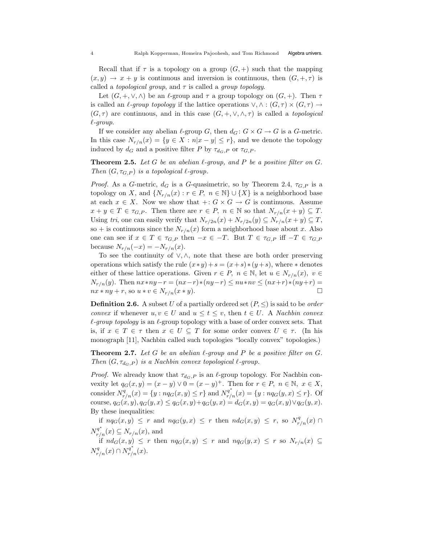Recall that if  $\tau$  is a topology on a group  $(G, +)$  such that the mapping  $(x, y) \rightarrow x + y$  is continuous and inversion is continuous, then  $(G, +, \tau)$  is called a *topological group*, and  $\tau$  is called a *group topology*.

Let  $(G, +, \vee, \wedge)$  be an  $\ell$ -group and  $\tau$  a group topology on  $(G, +)$ . Then  $\tau$ is called an  $\ell$ -group topology if the lattice operations  $\vee, \wedge : (G, \tau) \times (G, \tau) \rightarrow$  $(G, \tau)$  are continuous, and in this case  $(G, +, \vee, \wedge, \tau)$  is called a *topological*  $\ell$ -group.

If we consider any abelian  $\ell$ -group G, then  $d_G : G \times G \to G$  is a G-metric. In this case  $N_{r/n}(x) = \{y \in X : n|x-y| \leq r\}$ , and we denote the topology induced by  $d_G$  and a positive filter P by  $\tau_{d_G,P}$  or  $\tau_{G,P}$ .

**Theorem 2.5.** Let G be an abelian  $\ell$ -group, and P be a positive filter on G. Then  $(G, \tau_{G,P})$  is a topological  $\ell$ -group.

*Proof.* As a G-metric,  $d_G$  is a G-quasimetric, so by Theorem 2.4,  $\tau_{G,P}$  is a topology on X, and  $\{N_{r/n}(x): r \in P, n \in \mathbb{N}\} \cup \{X\}$  is a neighborhood base at each  $x \in X$ . Now we show that  $\cdot : G \times G \to G$  is continuous. Assume  $x + y \in T \in \tau_{G,P}$ . Then there are  $r \in P$ ,  $n \in \mathbb{N}$  so that  $N_{r/n}(x + y) \subseteq T$ . Using tri, one can easily verify that  $N_{r/2n}(x) + N_{r/2n}(y) \subseteq N_{r/n}(x+y) \subseteq T$ , so + is continuous since the  $N_{r/n}(x)$  form a neighborhood base about x. Also one can see if  $x \in T \in \tau_{G,P}$  then  $-x \in -T$ . But  $T \in \tau_{G,P}$  iff  $-T \in \tau_{G,P}$ because  $N_{r/n}(-x) = -N_{r/n}(x)$ .

To see the continuity of  $\vee$ ,  $\wedge$ , note that these are both order preserving operations which satisfy the rule  $(x * y) + s = (x + s) * (y + s)$ , where  $*$  denotes either of these lattice operations. Given  $r \in P$ ,  $n \in \mathbb{N}$ , let  $u \in N_{r/n}(x)$ ,  $v \in$  $N_{r/n}(y)$ . Then  $nx * ny - r = (nx - r) * (ny - r) \leq nu * nv \leq (nx + r) * (ny + r) = nx * ny + r$ , so  $u * v \in N_{r/n}(x * y)$ .  $nx * ny + r$ , so  $u * v \in N_{r/n}(x * y)$ .

**Definition 2.6.** A subset U of a partially ordered set  $(P, \leq)$  is said to be *order* convex if whenever  $u, v \in U$  and  $u \leq t \leq v$ , then  $t \in U$ . A *Nachbin convex*  $\ell$ -group topology is an  $\ell$ -group topology with a base of order convex sets. That is, if  $x \in T \in \tau$  then  $x \in U \subseteq T$  for some order convex  $U \in \tau$ . (In his monograph [11], Nachbin called such topologies "locally convex" topologies.)

**Theorem 2.7.** Let G be an abelian  $\ell$ -group and P be a positive filter on G. Then  $(G, \tau_{d_G, P})$  is a Nachbin convex topological  $\ell$ -group.

*Proof.* We already know that  $\tau_{d_G,P}$  is an  $\ell$ -group topology. For Nachbin convexity let  $q_G(x, y) = (x - y) \vee 0 = (x - y)^+$ . Then for  $r \in P$ ,  $n \in \mathbb{N}$ ,  $x \in X$ , consider  $N_{r/n}^q(x) = \{y : nq_G(x, y) \le r\}$  and  $N_{r/n}^{q^*}(x) = \{y : nq_G(y, x) \le r\}$ . Of course,  $q_G(x, y), q_G(y, x) \leq q_G(x, y) + q_G(y, x) = d_G(x, y) = q_G(x, y) \vee q_G(y, x)$ . By these inequalities:

if  $n q_G(x,y) \leq r$  and  $n q_G(y,x) \leq r$  then  $n d_G(x,y) \leq r$ , so  $N_{r/n}^q(x) \cap$  $N_{r/n}^{q^*}(x) \subseteq N_{r/n}(x)$ , and

if  $nd_G(x,y) \leq r$  then  $nq_G(x,y) \leq r$  and  $nq_G(y,x) \leq r$  so  $N_{r/n}(x) \subseteq$  $N_{r/n}^q(x) \cap N_{r/n}^{q^*}(x).$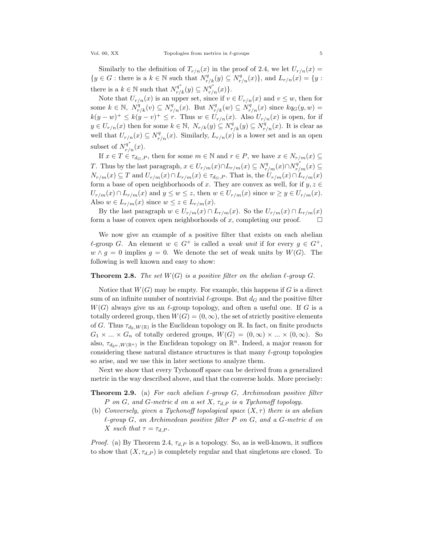Similarly to the definition of  $T_{r/n}(x)$  in the proof of 2.4, we let  $U_{r/n}(x) =$  $\{y \in G : \text{there is a } k \in \mathbb{N} \text{ such that } N_{r/k}^q(y) \subseteq N_{r/n}^q(x)\}\text{, and } L_{r/n}(x) = \{y : \text{and } J_{r/n}(x) = \{y\} \}$ there is a  $k \in \mathbb{N}$  such that  $N_{r/k}^{q^*}(y) \subseteq N_{r/n}^{q^*}(x)$ .

Note that  $U_{r/n}(x)$  is an upper set, since if  $v \in U_{r/n}(x)$  and  $v \leq w$ , then for some  $k \in \mathbb{N}$ ,  $N_{r/k}^q(v) \subseteq N_{r/n}^q(x)$ . But  $N_{r/k}^q(w) \subseteq N_{r/n}^q(x)$  since  $kq_G(y,w)$  =  $k(y-w)^{+} \leq k(y-v)^{+} \leq r$ . Thus  $w \in U_{r/n}(x)$ . Also  $U_{r/n}(x)$  is open, for if  $y \in U_{r/n}(x)$  then for some  $k \in \mathbb{N}$ ,  $N_{r/k}(y) \subseteq N_{r/k}^q(y) \subseteq N_{r/n}^q(x)$ . It is clear as well that  $U_{r/n}(x) \subseteq N_{r/n}^q(x)$ . Similarly,  $L_{r/n}(x)$  is a lower set and is an open subset of  $N_{r/n}^{q^*}(x)$ .

If  $x \in T \in \tau_{d_G,P}$ , then for some  $m \in \mathbb{N}$  and  $r \in P$ , we have  $x \in N_{r/m}(x) \subseteq$ T. Thus by the last paragraph,  $x \in U_{r/m}(x) \cap L_{r/m}(x) \subseteq N_{r/m}^q(x) \cap N_{r/m}^{q^*}(x) \subseteq$  $N_{r/m}(x) \subseteq T$  and  $U_{r/m}(x) \cap L_{r/m}(x) \in \tau_{d_G,P}$ . That is, the  $U_{r/m}(x) \cap L_{r/m}(x)$ form a base of open neighborhoods of x. They are convex as well, for if  $y, z \in$  $U_{r/m}(x) \cap L_{r/m}(x)$  and  $y \leq w \leq z$ , then  $w \in U_{r/m}(x)$  since  $w \geq y \in U_{r/m}(x)$ . Also  $w \in L_{r/m}(x)$  since  $w \leq z \in L_{r/m}(x)$ .

By the last paragraph  $w \in U_{r/m}(x) \cap L_{r/m}(x)$ . So the  $U_{r/m}(x) \cap L_{r/m}(x)$ <br>m a base of convex open neighborhoods of x, completing our proof. form a base of convex open neighborhoods of  $x$ , completing our proof.

We now give an example of a positive filter that exists on each abelian  $\ell$ -group G. An element  $w \in G^+$  is called a *weak unit* if for every  $g \in G^+$ ,  $w \wedge g = 0$  implies  $g = 0$ . We denote the set of weak units by  $W(G)$ . The following is well known and easy to show:

#### **Theorem 2.8.** The set  $W(G)$  is a positive filter on the abelian  $\ell$ -group  $G$ .

Notice that  $W(G)$  may be empty. For example, this happens if G is a direct sum of an infinite number of nontrivial  $\ell$ -groups. But  $d_G$  and the positive filter  $W(G)$  always give us an  $\ell$ -group topology, and often a useful one. If G is a totally ordered group, then  $W(G) = (0,\infty)$ , the set of strictly positive elements of G. Thus  $\tau_{d_R,W(\mathbb{R})}$  is the Euclidean topology on R. In fact, on finite products  $G_1 \times ... \times G_n$  of totally ordered groups,  $W(G) = (0,\infty) \times ... \times (0,\infty)$ . So also,  $\tau_{d_{\mathbb{R}^n},W(\mathbb{R}^n)}$  is the Euclidean topology on  $\mathbb{R}^n$ . Indeed, a major reason for considering these natural distance structures is that many  $\ell$ -group topologies so arise, and we use this in later sections to analyze them.

Next we show that every Tychonoff space can be derived from a generalized metric in the way described above, and that the converse holds. More precisely:

**Theorem 2.9.** (a) For each abelian  $\ell$ -group G, Archimedean positive filter P on G, and G-metric d on a set X,  $\tau_{d,P}$  is a Tychonoff topology.

(b) Conversely, given a Tychonoff topological space  $(X, \tau)$  there is an abelian  $\ell$ -group G, an Archimedean positive filter P on G, and a G-metric d on X such that  $\tau = \tau_{d.P}$ .

*Proof.* (a) By Theorem 2.4,  $\tau_{d,P}$  is a topology. So, as is well-known, it suffices to show that  $(X, \tau_{d,P})$  is completely regular and that singletons are closed. To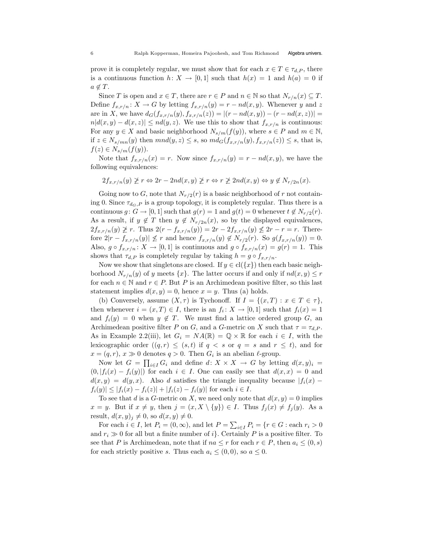prove it is completely regular, we must show that for each  $x \in T \in \tau_{d,P}$ , there is a continuous function  $h: X \to [0, 1]$  such that  $h(x) = 1$  and  $h(a) = 0$  if  $a \notin T$ .

Since T is open and  $x \in T$ , there are  $r \in P$  and  $n \in \mathbb{N}$  so that  $N_{r/n}(x) \subseteq T$ . Define  $f_{x,r/n}$ :  $X \to G$  by letting  $f_{x,r/n}(y) = r - nd(x, y)$ . Whenever y and z are in X, we have  $d_G(f_{x,r/n}(y), f_{x,r/n}(z)) = |(r - nd(x, y)) - (r - nd(x, z))| =$  $n|d(x,y) - d(x,z)| \leq nd(y,z)$ . We use this to show that  $f_{x,r/n}$  is continuous: For any  $y \in X$  and basic neighborhood  $N_{s/m}(f(y))$ , where  $s \in P$  and  $m \in \mathbb{N}$ , if  $z \in N_{s/mn}(y)$  then  $mnd(y, z) \leq s$ , so  $md_G(f_{x,r/n}(y), f_{x,r/n}(z)) \leq s$ , that is,  $f(z) \in N_{s/m}(f(y)).$ 

Note that  $f_{x,r/n}(x) = r$ . Now since  $f_{x,r/n}(y) = r - nd(x, y)$ , we have the following equivalences:

$$
2f_{x,r/n}(y) \ngeq r \Leftrightarrow 2r - 2nd(x,y) \ngeq r \Leftrightarrow r \ngeq 2nd(x,y) \Leftrightarrow y \not\in N_{r/2n}(x).
$$

Going now to G, note that  $N_{r/2}(r)$  is a basic neighborhood of r not containing 0. Since  $\tau_{d_G,P}$  is a group topology, it is completely regular. Thus there is a continuous  $g: G \to [0, 1]$  such that  $g(r) = 1$  and  $g(t) = 0$  whenever  $t \notin N_{r/2}(r)$ . As a result, if  $y \notin T$  then  $y \notin N_{r/2n}(x)$ , so by the displayed equivalences,  $2f_{x,r/n}(y) \not\geq r$ . Thus  $2(r - f_{x,r/n}(y)) = 2r - 2f_{x,r/n}(y) \not\leq 2r - r = r$ . Therefore  $2|r - f_{x,r/n}(y)| \nleq r$  and hence  $f_{x,r/n}(y) \notin N_{r/2}(r)$ . So  $g(f_{x,r/n}(y)) = 0$ . Also,  $g \circ f_{x,r/n} : X \to [0,1]$  is continuous and  $g \circ f_{x,r/n}(x) = g(r) = 1$ . This shows that  $\tau_{d,P}$  is completely regular by taking  $h = g \circ f_{x,r/n}$ .

Now we show that singletons are closed. If  $y \in cl({x})$  then each basic neighborhood  $N_{r/n}(y)$  of y meets  $\{x\}$ . The latter occurs if and only if  $nd(x, y) \leq r$ for each  $n \in \mathbb{N}$  and  $r \in P$ . But P is an Archimedean positive filter, so this last statement implies  $d(x, y) = 0$ , hence  $x = y$ . Thus (a) holds.

(b) Conversely, assume  $(X, \tau)$  is Tychonoff. If  $I = \{(x, T) : x \in T \in \tau\},$ then whenever  $i = (x, T) \in I$ , there is an  $f_i : X \to [0, 1]$  such that  $f_i(x) = 1$ and  $f_i(y) = 0$  when  $y \notin T$ . We must find a lattice ordered group G, an Archimedean positive filter P on G, and a G-metric on X such that  $\tau = \tau_{d,P}$ . As in Example 2.2(iii), let  $G_i = NA(\mathbb{R}) = \mathbb{Q} \times \mathbb{R}$  for each  $i \in I$ , with the lexicographic order  $((q, r) \leq (s, t)$  if  $q < s$  or  $q = s$  and  $r \leq t$ , and for  $x = (q, r), x \gg 0$  denotes  $q > 0$ . Then  $G_i$  is an abelian  $\ell$ -group.

Now let  $G = \prod_{i \in I} G_i$  and define  $d: X \times X \to G$  by letting  $d(x, y)_i =$  $(0, |f_i(x) - f_i(y)|)$  for each  $i \in I$ . One can easily see that  $d(x, x) = 0$  and  $d(x, y) = d(y, x)$ . Also d satisfies the triangle inequality because  $|f_i(x) |f_i(y)| \leq |f_i(x) - f_i(z)| + |f_i(z) - f_i(y)|$  for each  $i \in I$ .

To see that d is a G-metric on X, we need only note that  $d(x, y) = 0$  implies  $x = y$ . But if  $x \neq y$ , then  $j = (x, X \setminus \{y\}) \in I$ . Thus  $f_j(x) \neq f_j(y)$ . As a result,  $d(x, y)_i \neq 0$ , so  $d(x, y) \neq 0$ .

For each  $i \in I$ , let  $P_i = (0, \infty)$ , and let  $P = \sum_{i \in I} P_i = \{r \in G : \text{each } r_i > 0\}$ and  $r_i \gg 0$  for all but a finite number of i. Certainly P is a positive filter. To see that P is Archimedean, note that if  $na \leq r$  for each  $r \in P$ , then  $a_i \leq (0, s)$ for each strictly positive s. Thus each  $a_i \leq (0,0)$ , so  $a \leq 0$ .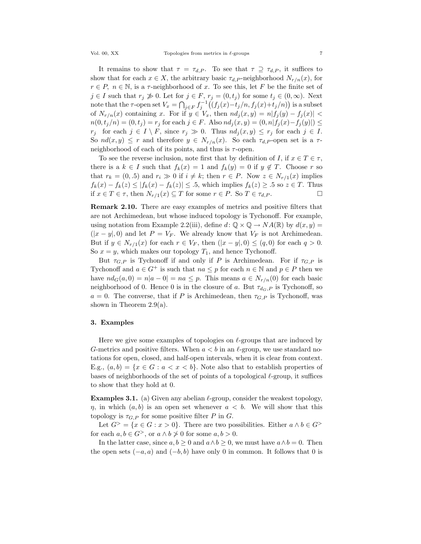It remains to show that  $\tau = \tau_{d,P}$ . To see that  $\tau \supseteq \tau_{d,P}$ , it suffices to show that for each  $x \in X$ , the arbitrary basic  $\tau_{d,P}$ -neighborhood  $N_{r/n}(x)$ , for  $r \in P$ ,  $n \in \mathbb{N}$ , is a  $\tau$ -neighborhood of x. To see this, let F be the finite set of  $j \in I$  such that  $r_j \not\gg 0$ . Let for  $j \in F$ ,  $r_j = (0,t_j)$  for some  $t_j \in (0,\infty)$ . Next note that the  $\tau$ -open set  $V_x = \bigcap_{j \in F} f_j^{-1}((f_j(x) - t_j/n, f_j(x) + t_j/n))$  is a subset of  $N_{r/n}(x)$  containing x. For if  $y \in V_x$ , then  $nd_i(x, y) = n|f_i(y) - f_i(x)|$  $n(0, t_j/n) = (0, t_j) = r_j$  for each  $j \in F$ . Also  $nd_j(x, y) = (0, n|f_j(x) - f_j(y)|) \le$  $r_j$  for each  $j \in I \setminus F$ , since  $r_j \gg 0$ . Thus  $nd_j(x, y) \leq r_j$  for each  $j \in I$ . So  $nd(x, y) \leq r$  and therefore  $y \in N_{r/n}(x)$ . So each  $\tau_{d,P}$ -open set is a  $\tau$ neighborhood of each of its points, and thus is  $\tau$ -open.

To see the reverse inclusion, note first that by definition of I, if  $x \in T \in \tau$ , there is a  $k \in I$  such that  $f_k(x) = 1$  and  $f_k(y) = 0$  if  $y \notin T$ . Choose r so that  $r_k = (0, .5)$  and  $r_i \gg 0$  if  $i \neq k$ ; then  $r \in P$ . Now  $z \in N_{r/1}(x)$  implies  $f_k(x) - f_k(z) \le |f_k(x) - f_k(z)| \le 0.5$ , which implies  $f_k(z) \ge 0.5$  so  $z \in T$ . Thus if  $x \in T \in \tau$ , then  $N_{r/1}(x) \subseteq T$  for some  $r \in P$ . So  $T \in \tau_d$   $P$ . if  $x \in T \in \tau$ , then  $N_{r/1}(x) \subseteq T$  for some  $r \in P$ . So  $T \in \tau_{d,P}$ .

Remark 2.10. There are easy examples of metrics and positive filters that are not Archimedean, but whose induced topology is Tychonoff. For example, using notation from Example 2.2(iii), define  $d: \mathbb{Q} \times \mathbb{Q} \to NA(\mathbb{R})$  by  $d(x, y) =$  $(|x-y|,0)$  and let  $P = V_F$ . We already know that  $V_F$  is not Archimedean. But if  $y \in N_{r/1}(x)$  for each  $r \in V_F$ , then  $(|x-y|, 0) \leq (q, 0)$  for each  $q > 0$ . So  $x = y$ , which makes our topology  $T_1$ , and hence Tychonoff.

But  $\tau_{G,P}$  is Tychonoff if and only if P is Archimedean. For if  $\tau_{G,P}$  is Tychonoff and  $a \in G^+$  is such that  $na \leq p$  for each  $n \in \mathbb{N}$  and  $p \in P$  then we have  $nd_G(a, 0) = n|a - 0| = na \leq p$ . This means  $a \in N_{r/n}(0)$  for each basic neighborhood of 0. Hence 0 is in the closure of a. But  $\tau_{d_G,P}$  is Tychonoff, so  $a = 0$ . The converse, that if P is Archimedean, then  $\tau_{G,P}$  is Tychonoff, was shown in Theorem 2.9(a).

#### 3. Examples

Here we give some examples of topologies on  $\ell$ -groups that are induced by G-metrics and positive filters. When  $a < b$  in an  $\ell$ -group, we use standard notations for open, closed, and half-open intervals, when it is clear from context. E.g.,  $(a, b) = \{x \in G : a < x < b\}$ . Note also that to establish properties of bases of neighborhoods of the set of points of a topological  $\ell$ -group, it suffices to show that they hold at 0.

**Examples 3.1.** (a) Given any abelian  $\ell$ -group, consider the weakest topology,  $\eta$ , in which  $(a, b)$  is an open set whenever  $a < b$ . We will show that this topology is  $\tau_{G,P}$  for some positive filter P in G.

Let  $G^> = \{x \in G : x > 0\}$ . There are two possibilities. Either  $a \wedge b \in G^>$ for each  $a, b \in G^>$ , or  $a \wedge b \not\geq 0$  for some  $a, b > 0$ .

In the latter case, since  $a, b \ge 0$  and  $a \wedge b \ge 0$ , we must have  $a \wedge b = 0$ . Then the open sets  $(-a, a)$  and  $(-b, b)$  have only 0 in common. It follows that 0 is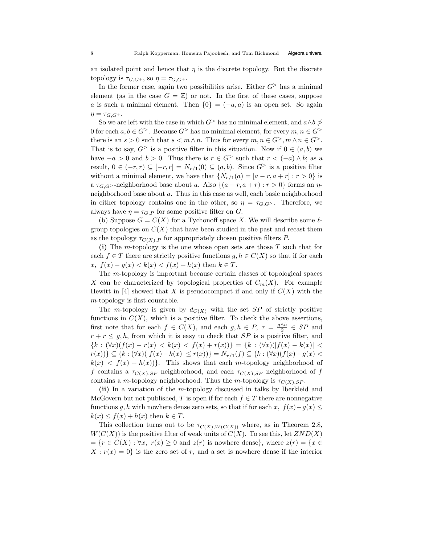an isolated point and hence that  $\eta$  is the discrete topology. But the discrete topology is  $\tau_{G,G^+}$ , so  $\eta = \tau_{G,G^+}$ .

In the former case, again two possibilities arise. Either  $G^>$  has a minimal element (as in the case  $G = \mathbb{Z}$ ) or not. In the first of these cases, suppose a is such a minimal element. Then  $\{0\} = (-a, a)$  is an open set. So again  $\eta = \tau_{G,G^+}.$ 

So we are left with the case in which  $G^>$  has no minimal element, and  $a \wedge b \not\geq$ 0 for each  $a, b \in G^>$ . Because  $G^>$  has no minimal element, for every  $m, n \in G^>$ there is an  $s > 0$  such that  $s < m \wedge n$ . Thus for every  $m, n \in G^>$ ,  $m \wedge n \in G^>$ . That is to say,  $G^>$  is a positive filter in this situation. Now if  $0 \in (a, b)$  we have  $-a > 0$  and  $b > 0$ . Thus there is  $r \in G^>$  such that  $r < (-a) \wedge b$ ; as a result,  $0 \in (-r, r) \subseteq [-r, r] = N_{r/1}(0) \subseteq (a, b)$ . Since  $G^>$  is a positive filter without a minimal element, we have that  $\{N_{r/1}(a) = [a - r, a + r] : r > 0\}$  is a  $\tau_{G,G}$  -neighborhood base about a. Also  $\{(a-r, a+r) : r > 0\}$  forms an  $\eta$ neighborhood base about a. Thus in this case as well, each basic neighborhood in either topology contains one in the other, so  $\eta = \tau_{G,G}$ . Therefore, we always have  $\eta = \tau_{G,P}$  for some positive filter on G.

(b) Suppose  $G = C(X)$  for a Tychonoff space X. We will describe some  $\ell$ group topologies on  $C(X)$  that have been studied in the past and recast them as the topology  $\tau_{C(X),P}$  for appropriately chosen positive filters P.

(i) The m-topology is the one whose open sets are those  $T$  such that for each  $f \in T$  there are strictly positive functions  $g, h \in C(X)$  so that if for each x,  $f(x) - g(x) < k(x) < f(x) + h(x)$  then  $k \in T$ .

The m-topology is important because certain classes of topological spaces X can be characterized by topological properties of  $C_m(X)$ . For example Hewitt in [4] showed that X is pseudocompact if and only if  $C(X)$  with the m-topology is first countable.

The m-topology is given by  $d_{C(X)}$  with the set SP of strictly positive functions in  $C(X)$ , which is a positive filter. To check the above assertions, first note that for each  $f \in C(X)$ , and each  $g, h \in P$ ,  $r = \frac{g \wedge h}{2} \in SP$  and  $r + r \leq g, h$ , from which it is easy to check that SP is a positive filter, and  ${k : (\forall x)(f(x) - r(x) < k(x) < f(x) + r(x))} = {k : (\forall x)(|f(x) - k(x)| <$  $r(x)$ } ⊆ {k :  $(\forall x)(|f(x) - k(x)| \le r(x))$ } =  $N_{r/1}(f)$  ⊆ {k :  $(\forall x)(f(x) - g(x) <$  $k(x) < f(x) + h(x)$ . This shows that each m-topology neighborhood of f contains a  $\tau_{C(X),SP}$  neighborhood, and each  $\tau_{C(X),SP}$  neighborhood of f contains a m-topology neighborhood. Thus the m-topology is  $\tau_{C(X),SP}$ .

(ii) In a variation of the m-topology discussed in talks by Iberkleid and McGovern but not published, T is open if for each  $f \in T$  there are nonnegative functions g, h with nowhere dense zero sets, so that if for each x,  $f(x)-g(x) \leq$  $k(x) \leq f(x) + h(x)$  then  $k \in T$ .

This collection turns out to be  $\tau_{C(X),W(C(X))}$  where, as in Theorem 2.8,  $W(C(X))$  is the positive filter of weak units of  $C(X)$ . To see this, let  $ZND(X)$  $=\{r \in C(X): \forall x, r(x) \geq 0 \text{ and } z(r) \text{ is nowhere dense}\},\text{ where } z(r) = \{x \in C(X): \forall x, r(x) \geq 0 \text{ and } z(r) \text{ is nowhere dense}\}.$  $X: r(x) = 0$  is the zero set of r, and a set is nowhere dense if the interior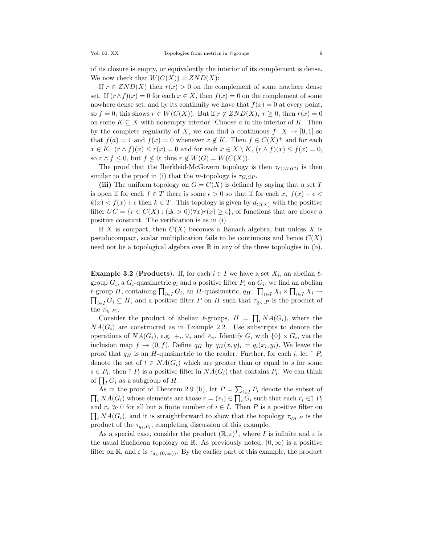of its closure is empty, or equivalently the interior of its complement is dense. We now check that  $W(C(X)) = ZND(X)$ :

If  $r \in ZND(X)$  then  $r(x) > 0$  on the complement of some nowhere dense set. If  $(r \wedge f)(x) = 0$  for each  $x \in X$ , then  $f(x) = 0$  on the complement of some nowhere dense set, and by its continuity we have that  $f(x) = 0$  at every point, so  $f = 0$ ; this shows  $r \in W(C(X))$ . But if  $r \notin ZND(X)$ ,  $r \geq 0$ , then  $r(x) = 0$ on some  $K \subseteq X$  with nonempty interior. Choose a in the interior of K. Then by the complete regularity of X, we can find a continuous  $f: X \to [0, 1]$  so that  $f(a) = 1$  and  $f(x) = 0$  whenever  $x \notin K$ . Then  $f \in C(X)^+$  and for each  $x \in K$ ,  $(r \wedge f)(x) \leq r(x) = 0$  and for each  $x \in X \setminus K$ ,  $(r \wedge f)(x) \leq f(x) = 0$ , so  $r \wedge f \leq 0$ , but  $f \nleq 0$ ; thus  $r \notin W(G) = W(C(X)).$ 

The proof that the Iberkleid-McGovern topology is then  $\tau_{G,W(G)}$  is then similar to the proof in (i) that the m-topology is  $\tau_{G,SP}$ .

(iii) The uniform topology on  $G = C(X)$  is defined by saying that a set T is open if for each  $f \in T$  there is some  $\epsilon > 0$  so that if for each x,  $f(x) - \epsilon <$  $k(x) < f(x) + \epsilon$  then  $k \in T$ . This topology is given by  $d_{C(X)}$  with the positive filter  $UC = {r \in C(X) : (\exists \epsilon > 0)(\forall x)r(x) \geq \epsilon},$  of functions that are above a positive constant. The verification is as in (i).

If X is compact, then  $C(X)$  becomes a Banach algebra, but unless X is pseudocompact, scalar multiplication fails to be continuous and hence  $C(X)$ need not be a topological algebra over  $\mathbb R$  in any of the three topologies in (b).

**Example 3.2 (Products).** If, for each  $i \in I$  we have a set  $X_i$ , an abelian  $\ell$ group  $G_i$ , a  $G_i$ -quasimetric  $q_i$  and a positive filter  $P_i$  on  $G_i$ , we find an abelian  $\ell$ -group H, containing  $\prod_{i\in I} G_i$ , an H-quasimetric,  $q_H$ :  $\prod_{i\in I} X_i \times \prod_{i\in I} X_i \rightarrow$ <br> $\prod_{i\in I} G_i$  ⊂ H, and a positive filter P on H such that  $\tau_{a}$ , p is the product of  $\prod_{i\in I} G_i \subseteq H$ , and a positive filter P on H such that  $\tau_{q_H,P}$  is the product of the  $\tau_{q_i,P_i}$ .

Consider the product of abelian  $\ell$ -groups,  $H = \prod_i N A(G_i)$ , where the  $NA(G_i)$  are constructed as in Example 2.2. Use subscripts to denote the operations of  $NA(G_i)$ , e.g.  $+_i, \vee_i$  and  $\wedge_i$ . Identify  $G_i$  with  $\{0\} \times G_i$ , via the inclusion map  $f \to (0, f)$ . Define  $q_H$  by  $q_H(x, y)_i = q_i(x_i, y_i)$ . We leave the proof that  $q_H$  is an H-quasimetric to the reader. Further, for each i, let  $\uparrow P_i$ denote the set of  $t \in NA(G_i)$  which are greater than or equal to s for some  $s \in P_i$ ; then  $\uparrow P_i$  is a positive filter in  $NA(G_i)$  that contains  $P_i$ . We can think of  $\prod_I G_i$  as a subgroup of H.

As in the proof of Theorem 2.9 (b), let  $P = \sum_{i \in I} P_i$  denote the subset of  $\prod_i NA(G_i)$  whose elements are those  $r = (r_i) \in \prod_i G_i$  such that each  $r_i \in \uparrow P_i$ and  $r_i \gg 0$  for all but a finite number of  $i \in I$ . Then P is a positive filter on  $\prod_i \text{NA}(G_i)$ , and it is straightforward to show that the topology  $\tau_{q_H,P}$  is the product of the  $\tau_{q_i,P_i}$ , completing discussion of this example.

As a special case, consider the product  $(\mathbb{R}, \varepsilon)^I$ , where I is infinite and  $\varepsilon$  is the usual Euclidean topology on R. As previously noted,  $(0,\infty)$  is a positive filter on R, and  $\varepsilon$  is  $\tau_{d_R,(0,\infty)}$ . By the earlier part of this example, the product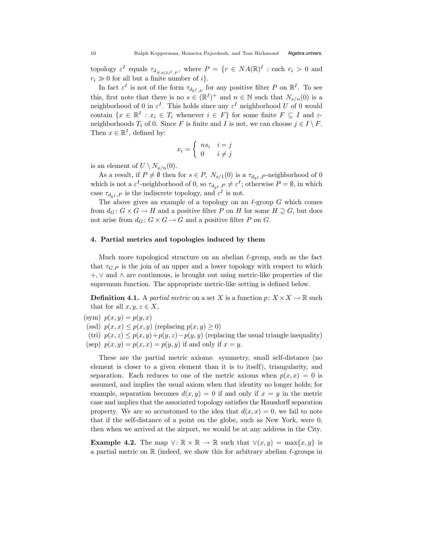topology  $\varepsilon^I$  equals  $\tau_{d_{NA(\mathbb{R})^I,P}}$ , where  $P = \{r \in NA(\mathbb{R})^I : \text{each } r_i > 0 \text{ and }$  $r_i \gg 0$  for all but a finite number of i.

In fact  $\varepsilon^I$  is not of the form  $\tau_{d_{nI,p}}$  for any positive filter P on  $\mathbb{R}^I$ . To see this, first note that there is no  $s \in (\mathbb{R}^I)^+$  and  $n \in \mathbb{N}$  such that  $N_{s/n}(0)$  is a neighborhood of 0 in  $\varepsilon^I$ . This holds since any  $\varepsilon^I$  neighborhood U of 0 would contain  $\{x \in \mathbb{R}^I : x_i \in T_i \text{ whenever } i \in F\}$  for some finite  $F \subseteq I$  and  $\varepsilon$ neighborhoods  $T_i$  of 0. Since F is finite and I is not, we can choose  $j \in I \setminus F$ . Then  $x \in \mathbb{R}^I$ , defined by:

$$
x_i = \begin{cases} ns_i & i = j \\ 0 & i \neq j \end{cases}
$$

is an element of  $U \setminus N_{s/n}(0)$ .

As a result, if  $P \neq \emptyset$  then for  $s \in P$ ,  $N_{s/1}(0)$  is a  $\tau_{d_{sI},P}$ -neighborhood of 0 which is not a  $\varepsilon^I$ -neighborhood of 0, so  $\tau_{d_{\mathbb{R}^I},P} \neq \varepsilon^I$ ; otherwise  $P = \emptyset$ , in which case  $\tau_{d_{n,l},P}$  is the indiscrete topology, and  $\varepsilon^I$  is not.

The above gives an example of a topology on an  $\ell$ -group G which comes from  $d_G: G \times G \to H$  and a positive filter P on H for some  $H \supseteq G$ , but does not arise from  $d_G: G \times G \to G$  and a positive filter P on G.

## 4. Partial metrics and topologies induced by them

Much more topological structure on an abelian  $\ell$ -group, such as the fact that  $\tau_{G,P}$  is the join of an upper and a lower topology with respect to which +,∨ and ∧ are continuous, is brought out using metric-like properties of the supremum function. The appropriate metric-like setting is defined below.

**Definition 4.1.** A partial metric on a set X is a function  $p: X \times X \to \mathbb{R}$  such that for all  $x, y, z \in X$ ,

(sym)  $p(x, y) = p(y, x)$ (ssd)  $p(x, x) \leq p(x, y)$  (replacing  $p(x, y) \geq 0$ ) (tri)  $p(x, z) \leq p(x, y) + p(y, z) - p(y, y)$  (replacing the usual triangle inequality) (sep)  $p(x, y) = p(x, x) = p(y, y)$  if and only if  $x = y$ .

These are the partial metric axioms: symmetry, small self-distance (no element is closer to a given element than it is to itself), triangularity, and separation. Each reduces to one of the metric axioms when  $p(x, x) = 0$  is assumed, and implies the usual axiom when that identity no longer holds; for example, separation becomes  $d(x, y) = 0$  if and only if  $x = y$  in the metric case and implies that the associated topology satisfies the Hausdorff separation property. We are so accustomed to the idea that  $d(x, x) = 0$ , we fail to note that if the self-distance of a point on the globe, such as New York, were 0, then when we arrived at the airport, we would be at any address in the City.

**Example 4.2.** The map  $\vee$ :  $\mathbb{R} \times \mathbb{R} \to \mathbb{R}$  such that  $\vee (x, y) = \max\{x, y\}$  is a partial metric on  $\mathbb R$  (indeed, we show this for arbitrary abelian  $\ell$ -groups in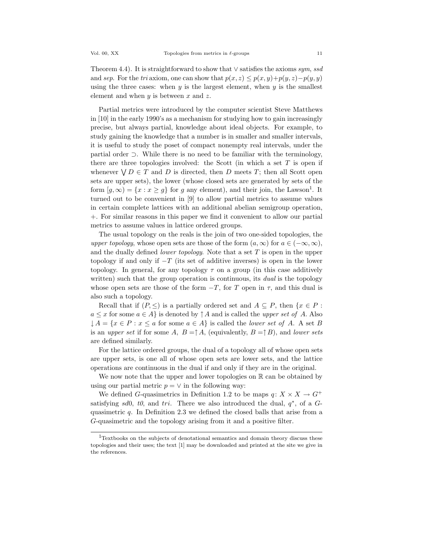Theorem 4.4). It is straightforward to show that  $\vee$  satisfies the axioms sym, ssd and sep. For the tri axiom, one can show that  $p(x, z) \leq p(x, y) + p(y, z) - p(y, y)$ using the three cases: when  $y$  is the largest element, when  $y$  is the smallest element and when  $y$  is between  $x$  and  $z$ .

Partial metrics were introduced by the computer scientist Steve Matthews in [10] in the early 1990's as a mechanism for studying how to gain increasingly precise, but always partial, knowledge about ideal objects. For example, to study gaining the knowledge that a number is in smaller and smaller intervals, it is useful to study the poset of compact nonempty real intervals, under the partial order ⊃. While there is no need to be familiar with the terminology, there are three topologies involved: the Scott (in which a set  $T$  is open if whenever  $\forall D \in T$  and D is directed, then D meets T; then all Scott open sets are upper sets), the lower (whose closed sets are generated by sets of the form  $[g,\infty) = \{x : x \ge g\}$  for g any element), and their join, the Lawson<sup>1</sup>. It turned out to be convenient in [9] to allow partial metrics to assume values in certain complete lattices with an additional abelian semigroup operation, +. For similar reasons in this paper we find it convenient to allow our partial metrics to assume values in lattice ordered groups.

The usual topology on the reals is the join of two one-sided topologies, the upper topology, whose open sets are those of the form  $(a,\infty)$  for  $a \in (-\infty,\infty)$ , and the dually defined *lower topology*. Note that a set  $T$  is open in the upper topology if and only if  $-T$  (its set of additive inverses) is open in the lower topology. In general, for any topology  $\tau$  on a group (in this case additively written) such that the group operation is continuous, its *dual* is the topology whose open sets are those of the form  $-T$ , for T open in  $\tau$ , and this dual is also such a topology.

Recall that if  $(P, \leq)$  is a partially ordered set and  $A \subseteq P$ , then  $\{x \in P :$  $a \leq x$  for some  $a \in A$  is denoted by  $\uparrow A$  and is called the upper set of A. Also  $\downarrow A = \{x \in P : x \leq a \text{ for some } a \in A\}$  is called the *lower set of A.* A set B is an upper set if for some A,  $B = \uparrow A$ , (equivalently,  $B = \uparrow B$ ), and lower sets are defined similarly.

For the lattice ordered groups, the dual of a topology all of whose open sets are upper sets, is one all of whose open sets are lower sets, and the lattice operations are continuous in the dual if and only if they are in the original.

We now note that the upper and lower topologies on  $\mathbb R$  can be obtained by using our partial metric  $p = \vee$  in the following way:

We defined G-quasimetrics in Definition 1.2 to be maps  $q: X \times X \to G^+$ satisfying sd0, t0, and tri. There we also introduced the dual,  $q^*$ , of a Gquasimetric  $q$ . In Definition 2.3 we defined the closed balls that arise from a G-quasimetric and the topology arising from it and a positive filter.

<sup>1</sup>Textbooks on the subjects of denotational semantics and domain theory discuss these topologies and their uses; the text [1] may be downloaded and printed at the site we give in the references.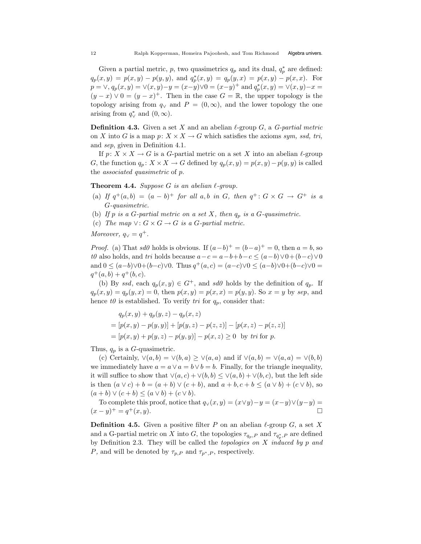Given a partial metric, p, two quasimetrics  $q_p$  and its dual,  $q_p^*$  are defined:  $q_p(x, y) = p(x, y) - p(y, y)$ , and  $q_p^*(x, y) = q_p(y, x) = p(x, y) - p(x, x)$ . For  $p = \vee, q_p(x, y) = \vee(x, y) - y = (x - y) \vee 0 = (x - y)^{+}$  and  $q_p^{*}(x, y) = \vee(x, y) - x =$  $(y - x) \vee 0 = (y - x)^{+}$ . Then in the case  $G = \mathbb{R}$ , the upper topology is the topology arising from  $q_{\vee}$  and  $P = (0, \infty)$ , and the lower topology the one arising from  $q^*_{\vee}$  and  $(0,\infty)$ .

**Definition 4.3.** Given a set X and an abelian  $\ell$ -group G, a G-partial metric on X into G is a map  $p: X \times X \to G$  which satisfies the axioms sym, ssd, tri, and sep, given in Definition 4.1.

If  $p: X \times X \to G$  is a G-partial metric on a set X into an abelian  $\ell$ -group G, the function  $q_p: X \times X \to G$  defined by  $q_p(x, y) = p(x, y) - p(y, y)$  is called the associated quasimetric of p.

**Theorem 4.4.** Suppose G is an abelian  $\ell$ -group.

- (a) If  $q^+(a, b) = (a b)^+$  for all  $a, b$  in  $G$ , then  $q^+ : G \times G \to G^+$  is a G-quasimetric.
- (b) If p is a G-partial metric on a set X, then  $q_p$  is a G-quasimetric.
- (c) The map  $\vee: G \times G \to G$  is a G-partial metric.

Moreover,  $q_{\vee} = q^{+}$ .

*Proof.* (a) That sd0 holds is obvious. If  $(a-b)^+ = (b-a)^+ = 0$ , then  $a = b$ , so t0 also holds, and tri holds because  $a-c = a-b+b-c \leq (a-b)\vee 0+(b-c)\vee 0$ and  $0 \le (a-b)\vee 0 + (b-c)\vee 0$ . Thus  $q^+(a,c) = (a-c)\vee 0 \le (a-b)\vee 0 + (b-c)\vee 0 =$  $q^+(a, b) + q^+(b, c)$ .

(b) By ssd, each  $q_p(x, y) \in G^+$ , and sd0 holds by the definition of  $q_p$ . If  $q_p(x, y) = q_p(y, x) = 0$ , then  $p(x, y) = p(x, x) = p(y, y)$ . So  $x = y$  by sep, and hence to is established. To verify tri for  $q_p$ , consider that:

$$
q_p(x, y) + q_p(y, z) - q_p(x, z)
$$
  
=  $[p(x, y) - p(y, y)] + [p(y, z) - p(z, z)] - [p(x, z) - p(z, z)]$   
=  $[p(x, y) + p(y, z) - p(y, y)] - p(x, z) \ge 0$  by *tri* for *p*.

Thus,  $q_p$  is a G-quasimetric.

(c) Certainly,  $\vee(a, b) = \vee(b, a) \geq \vee(a, a)$  and if  $\vee(a, b) = \vee(a, a) = \vee(b, b)$ we immediately have  $a = a \vee a = b \vee b = b$ . Finally, for the triangle inequality, it will suffice to show that  $\vee(a, c) + \vee(b, b) \leq \vee(a, b) + \vee(b, c)$ , but the left side is then  $(a \vee c) + b = (a + b) \vee (c + b)$ , and  $a + b, c + b \leq (a \vee b) + (c \vee b)$ , so  $(a + b) \vee (c + b) \leq (a \vee b) + (c \vee b).$ 

To complete this proof, notice that  $q_{\vee}(x, y) = (x \vee y) - y = (x-y) \vee (y-y) =$  $(x - y)^{+} = q^{+}(x, y).$ 

**Definition 4.5.** Given a positive filter P on an abelian  $\ell$ -group G, a set X and a G-partial metric on X into G, the topologies  $\tau_{q_p,P}$  and  $\tau_{q_p^*,P}$  are defined by Definition 2.3. They will be called the *topologies on*  $X$  *induced by p and* P, and will be denoted by  $\tau_{p,P}$  and  $\tau_{p^*,P}$ , respectively.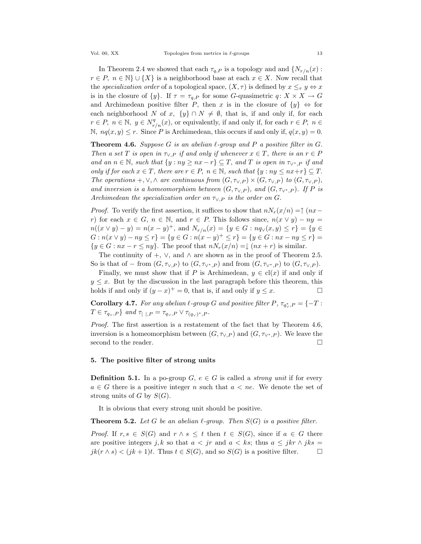In Theorem 2.4 we showed that each  $\tau_{q,P}$  is a topology and and  $\{N_{r/n}(x):$  $r \in P$ ,  $n \in \mathbb{N}$   $\cup$  {X} is a neighborhood base at each  $x \in X$ . Now recall that the specialization order of a topological space,  $(X, \tau)$  is defined by  $x \leq_{\tau} y \Leftrightarrow x$ is in the closure of  $\{y\}$ . If  $\tau = \tau_{q,P}$  for some G-quasimetric  $q: X \times X \to G$ and Archimedean positive filter P, then x is in the closure of  $\{y\} \Leftrightarrow$  for each neighborhood N of x,  $\{y\} \cap N \neq \emptyset$ , that is, if and only if, for each  $r \in P$ ,  $n \in \mathbb{N}$ ,  $y \in N^q_{r/n}(x)$ , or equivalently, if and only if, for each  $r \in P$ ,  $n \in$ N,  $nq(x, y) \leq r$ . Since P is Archimedean, this occurs if and only if,  $q(x, y) = 0$ .

**Theorem 4.6.** Suppose G is an abelian  $\ell$ -group and P a positive filter in G. Then a set T is open in  $\tau_{\vee,P}$  if and only if whenever  $x \in T$ , there is an  $r \in P$ and an  $n \in \mathbb{N}$ , such that  $\{y : ny \ge nx - r\} \subseteq T$ , and T is open in  $\tau_{\vee^*,P}$  if and only if for each  $x \in T$ , there are  $r \in P$ ,  $n \in \mathbb{N}$ , such that  $\{y : ny \le nx + r\} \subseteq T$ . The operations +,  $\vee$ ,  $\wedge$  are continuous from  $(G, \tau_{\vee,P}) \times (G, \tau_{\vee,P})$  to  $(G, \tau_{\vee,P})$ , and inversion is a homeomorphism between  $(G, \tau_{\vee,P})$ , and  $(G, \tau_{\vee^*,P})$ . If P is Archimedean the specialization order on  $\tau_{\vee,P}$  is the order on G.

*Proof.* To verify the first assertion, it suffices to show that  $nN_r(x/n) = \uparrow (nx-\frac{1}{n})$ r) for each  $x \in G$ ,  $n \in \mathbb{N}$ , and  $r \in P$ . This follows since,  $n(x \vee y) - ny =$  $n((x \lor y) - y) = n(x - y)^{+}$ , and  $N_{r/n}(x) = \{y \in G : nq_{\lor}(x, y) \leq r\} = \{y \in G : n \leq r\}$  $G: n(x \vee y) - ny \leq r$  = { $y \in G: n(x - y)^{+} \leq r$ } = { $y \in G: nx - ny \leq r$ } =  $\{y \in G : nx - r \leq ny\}$ . The proof that  $nN_r(x/n) = \downarrow (nx + r)$  is similar.

The continuity of  $+$ ,  $\vee$ , and  $\wedge$  are shown as in the proof of Theorem 2.5. So is that of – from  $(G, \tau_{\vee, P})$  to  $(G, \tau_{\vee^*, P})$  and from  $(G, \tau_{\vee^*, P})$  to  $(G, \tau_{\vee, P})$ .

Finally, we must show that if P is Archimedean,  $y \in cl(x)$  if and only if  $y \leq x$ . But by the discussion in the last paragraph before this theorem, this holds if and only if  $(y - x)^+ = 0$  that is if and only if  $y \leq x$ holds if and only if  $(y - x)^+ = 0$ , that is, if and only if  $y \leq x$ .

**Corollary 4.7.** For any abelian  $\ell$ -group G and positive filter P,  $\tau_{q_y^*,P} = \{-T :$  $T \in \tau_{q_{\vee},P}$  and  $\tau_{\vert\ \vert,P} = \tau_{q_{\vee},P} \vee \tau_{(q_{\vee})^*,P}$ .

Proof. The first assertion is a restatement of the fact that by Theorem 4.6, inversion is a homeomorphism between  $(G, \tau_{\vee}, P)$  and  $(G, \tau_{\vee^*, P})$ . We leave the second to the reader second to the reader.

#### 5. The positive filter of strong units

**Definition 5.1.** In a po-group  $G, e \in G$  is called a *strong unit* if for every  $a \in G$  there is a positive integer n such that  $a < ne$ . We denote the set of strong units of G by  $S(G)$ .

It is obvious that every strong unit should be positive.

**Theorem 5.2.** Let G be an abelian  $\ell$ -group. Then  $S(G)$  is a positive filter.

*Proof.* If  $r, s \in S(G)$  and  $r \wedge s \leq t$  then  $t \in S(G)$ , since if  $a \in G$  there are positive integers j, k so that  $a < jr$  and  $a < ks$ ; thus  $a \leq jkr \wedge jks = ik(r \wedge s) < (ik+1)t$ . Thus  $t \in S(G)$ , and so  $S(G)$  is a positive filter.  $jk(r \wedge s) < (jk+1)t$ . Thus  $t \in S(G)$ , and so  $S(G)$  is a positive filter.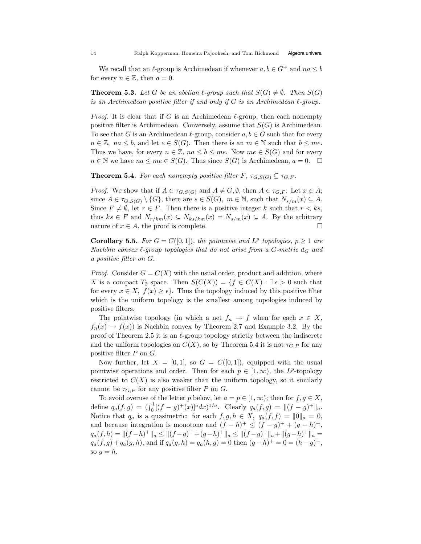We recall that an  $\ell$ -group is Archimedean if whenever  $a, b \in G^+$  and  $na \leq b$ for every  $n \in \mathbb{Z}$ , then  $a = 0$ .

**Theorem 5.3.** Let G be an abelian  $\ell$ -group such that  $S(G) \neq \emptyset$ . Then  $S(G)$ is an Archimedean positive filter if and only if  $G$  is an Archimedean  $\ell$ -group.

*Proof.* It is clear that if G is an Archimedean  $\ell$ -group, then each nonempty positive filter is Archimedean. Conversely, assume that  $S(G)$  is Archimedean. To see that G is an Archimedean  $\ell$ -group, consider  $a, b \in G$  such that for every  $n \in \mathbb{Z}$ ,  $na \leq b$ , and let  $e \in S(G)$ . Then there is an  $m \in \mathbb{N}$  such that  $b \leq me$ . Thus we have, for every  $n \in \mathbb{Z}$ ,  $na \leq b \leq me$ . Now  $me \in S(G)$  and for every  $n \in \mathbb{N}$  we have  $na \leq me \in S(G)$ . Thus since  $S(G)$  is Archimedean,  $a = 0$ .  $\Box$ 

**Theorem 5.4.** For each nonempty positive filter F,  $\tau_{G,S(G)} \subseteq \tau_{G,F}$ .

*Proof.* We show that if  $A \in \tau_{G,S(G)}$  and  $A \neq G, \emptyset$ , then  $A \in \tau_{G,F}$ . Let  $x \in A$ ; since  $A \in \tau_{G,S(G)} \setminus \{G\}$ , there are  $s \in S(G)$ ,  $m \in \mathbb{N}$ , such that  $N_{s/m}(x) \subseteq A$ . Since  $F \neq \emptyset$ , let  $r \in F$ . Then there is a positive integer k such that  $r < ks$ , thus  $ks \in F$  and  $N_{r/km}(x) \subseteq N_{ks/km}(x) = N_{s/m}(x) \subseteq A$ . By the arbitrary nature of  $x \in A$ , the proof is complete. nature of  $x \in A$ , the proof is complete.

**Corollary 5.5.** For  $G = C([0, 1])$ , the pointwise and  $L^p$  topologies,  $p \geq 1$  are Nachbin convex  $\ell$ -group topologies that do not arise from a G-metric  $d_G$  and a positive filter on G.

*Proof.* Consider  $G = C(X)$  with the usual order, product and addition, where X is a compact  $T_2$  space. Then  $S(C(X)) = \{f \in C(X) : \exists \epsilon > 0 \text{ such that }$ for every  $x \in X$ ,  $f(x) \ge \epsilon$ . Thus the topology induced by this positive filter which is the uniform topology is the smallest among topologies induced by positive filters.

The pointwise topology (in which a net  $f_n \to f$  when for each  $x \in X$ ,  $f_n(x) \to f(x)$  is Nachbin convex by Theorem 2.7 and Example 3.2. By the proof of Theorem 2.5 it is an  $\ell$ -group topology strictly between the indiscrete and the uniform topologies on  $C(X)$ , so by Theorem 5.4 it is not  $\tau_{G,P}$  for any positive filter P on G.

Now further, let  $X = [0, 1]$ , so  $G = C([0, 1])$ , equipped with the usual pointwise operations and order. Then for each  $p \in [1,\infty)$ , the L<sup>p</sup>-topology restricted to  $C(X)$  is also weaker than the uniform topology, so it similarly cannot be  $\tau_{G,P}$  for any positive filter P on G.

To avoid overuse of the letter p below, let  $a = p \in [1, \infty)$ ; then for  $f, g \in X$ , define  $q_a(f,g) = (\int_0^1 [(f-g)^+(x)]^a dx)^{1/a}$ . Clearly  $q_a(f,g) = ||(f-g)^+||_a$ . Notice that  $q_a$  is a quasimetric: for each  $f, g, h \in X$ ,  $q_a(f, f) = ||0||_a = 0$ , and because integration is monotone and  $(f - h)^+ \le (f - g)^+ + (g - h)^+$ ,  $q_a(f, h) = ||(f - h)^+||_a \le ||(f - g)^+ + (g - h)^+||_a \le ||(f - g)^+||_a + ||(g - h)^+||_a =$  $q_a(f, g) + q_a(g, h)$ , and if  $q_a(g, h) = q_a(h, g) = 0$  then  $(g - h)^+ = 0 = (h - g)^+$ , so  $g = h$ .